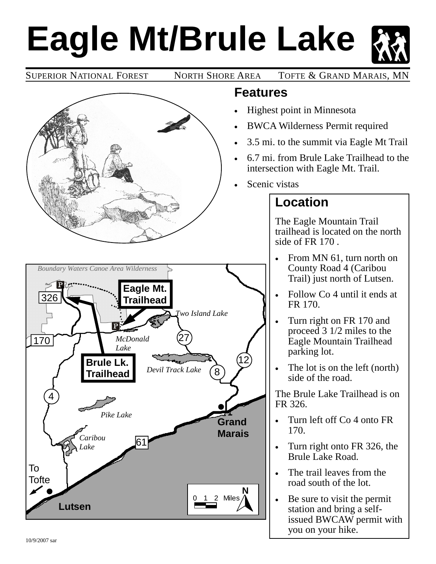# **Eagle Mt/Brule Lake**

SUPERIOR NATIONAL FOREST NORTH SHORE AREA TOFTE & GRAND MARAIS, MN



#### **Features**

- Highest point in Minnesota
- BWCA Wilderness Permit required
- 3.5 mi. to the summit via Eagle Mt Trail
- 6.7 mi. from Brule Lake Trailhead to the intersection with Eagle Mt. Trail.
- Scenic vistas

# **Location**

The Eagle Mountain Trail trailhead is located on the north side of FR 170 .

- From MN 61, turn north on County Road 4 (Caribou Trail) just north of Lutsen.
- Follow Co 4 until it ends at FR 170.
- Turn right on FR 170 and proceed 3 1/2 miles to the Eagle Mountain Trailhead parking lot.
- The lot is on the left (north) side of the road.

The Brule Lake Trailhead is on FR 326.

- Turn left off Co 4 onto FR 170.
- Turn right onto FR 326, the Brule Lake Road.
- The trail leaves from the road south of the lot.
- Be sure to visit the permit station and bring a selfissued BWCAW permit with you on your hike.